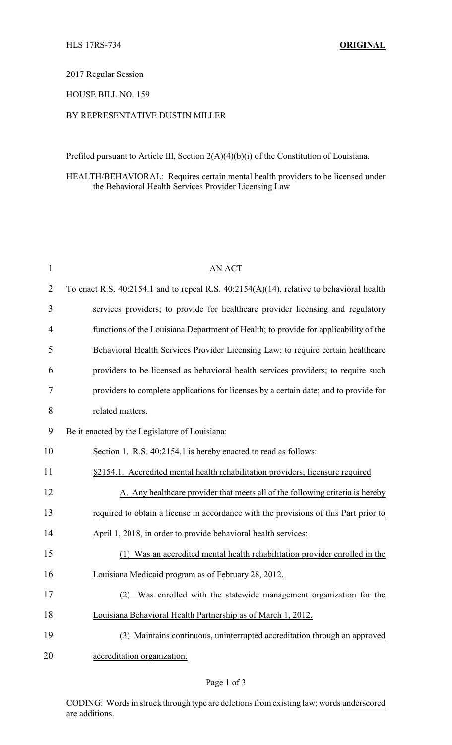#### 2017 Regular Session

### HOUSE BILL NO. 159

# BY REPRESENTATIVE DUSTIN MILLER

Prefiled pursuant to Article III, Section 2(A)(4)(b)(i) of the Constitution of Louisiana.

#### HEALTH/BEHAVIORAL: Requires certain mental health providers to be licensed under the Behavioral Health Services Provider Licensing Law

| $\mathbf{1}$   | AN ACT                                                                                        |  |  |
|----------------|-----------------------------------------------------------------------------------------------|--|--|
| $\overline{2}$ | To enact R.S. $40:2154.1$ and to repeal R.S. $40:2154(A)(14)$ , relative to behavioral health |  |  |
| 3              | services providers; to provide for healthcare provider licensing and regulatory               |  |  |
| $\overline{4}$ | functions of the Louisiana Department of Health; to provide for applicability of the          |  |  |
| 5              | Behavioral Health Services Provider Licensing Law; to require certain healthcare              |  |  |
| 6              | providers to be licensed as behavioral health services providers; to require such             |  |  |
| 7              | providers to complete applications for licenses by a certain date; and to provide for         |  |  |
| 8              | related matters.                                                                              |  |  |
| 9              | Be it enacted by the Legislature of Louisiana:                                                |  |  |
| 10             | Section 1. R.S. 40:2154.1 is hereby enacted to read as follows:                               |  |  |
| 11             | §2154.1. Accredited mental health rehabilitation providers; licensure required                |  |  |
| 12             | A. Any healthcare provider that meets all of the following criteria is hereby                 |  |  |
| 13             | required to obtain a license in accordance with the provisions of this Part prior to          |  |  |
| 14             | April 1, 2018, in order to provide behavioral health services:                                |  |  |
| 15             | Was an accredited mental health rehabilitation provider enrolled in the<br>(1)                |  |  |
| 16             | Louisiana Medicaid program as of February 28, 2012.                                           |  |  |
| 17             | (2) Was enrolled with the statewide management organization for the                           |  |  |
| 18             | Louisiana Behavioral Health Partnership as of March 1, 2012.                                  |  |  |
| 19             | (3) Maintains continuous, uninterrupted accreditation through an approved                     |  |  |
| 20             | accreditation organization.                                                                   |  |  |

### Page 1 of 3

CODING: Words in struck through type are deletions from existing law; words underscored are additions.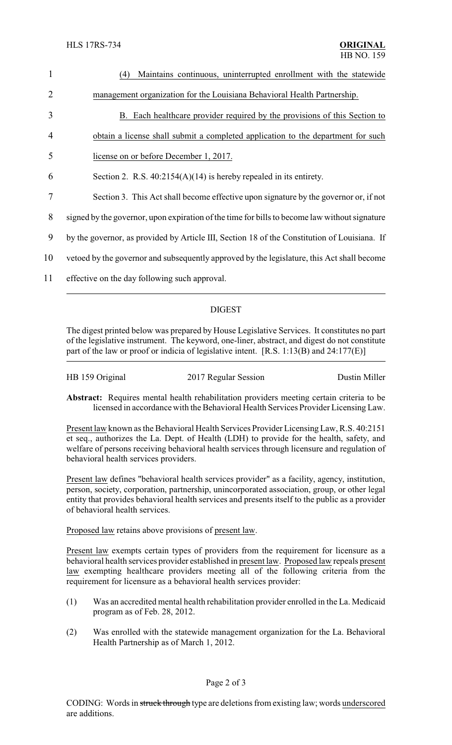| $\mathbf{1}$   | Maintains continuous, uninterrupted enrollment with the statewide<br>(4)                      |  |  |
|----------------|-----------------------------------------------------------------------------------------------|--|--|
| $\overline{2}$ | management organization for the Louisiana Behavioral Health Partnership.                      |  |  |
| 3              | B. Each healthcare provider required by the provisions of this Section to                     |  |  |
| $\overline{4}$ | obtain a license shall submit a completed application to the department for such              |  |  |
| 5              | license on or before December 1, 2017.                                                        |  |  |
| 6              | Section 2. R.S. $40:2154(A)(14)$ is hereby repealed in its entirety.                          |  |  |
| 7              | Section 3. This Act shall become effective upon signature by the governor or, if not          |  |  |
| 8              | signed by the governor, upon expiration of the time for bills to become law without signature |  |  |
| 9              | by the governor, as provided by Article III, Section 18 of the Constitution of Louisiana. If  |  |  |
| 10             | vetoed by the governor and subsequently approved by the legislature, this Act shall become    |  |  |
| 11             | effective on the day following such approval.                                                 |  |  |
|                |                                                                                               |  |  |

# DIGEST

The digest printed below was prepared by House Legislative Services. It constitutes no part of the legislative instrument. The keyword, one-liner, abstract, and digest do not constitute part of the law or proof or indicia of legislative intent. [R.S. 1:13(B) and 24:177(E)]

| HB 159 Original | 2017 Regular Session | Dustin Miller |
|-----------------|----------------------|---------------|
|                 |                      |               |

**Abstract:** Requires mental health rehabilitation providers meeting certain criteria to be licensed in accordance with the Behavioral Health Services Provider Licensing Law.

Present law known as the Behavioral Health Services Provider Licensing Law, R.S. 40:2151 et seq., authorizes the La. Dept. of Health (LDH) to provide for the health, safety, and welfare of persons receiving behavioral health services through licensure and regulation of behavioral health services providers.

Present law defines "behavioral health services provider" as a facility, agency, institution, person, society, corporation, partnership, unincorporated association, group, or other legal entity that provides behavioral health services and presents itself to the public as a provider of behavioral health services.

Proposed law retains above provisions of present law.

Present law exempts certain types of providers from the requirement for licensure as a behavioral health services provider established in present law. Proposed law repeals present law exempting healthcare providers meeting all of the following criteria from the requirement for licensure as a behavioral health services provider:

- (1) Was an accredited mental health rehabilitation provider enrolled in the La. Medicaid program as of Feb. 28, 2012.
- (2) Was enrolled with the statewide management organization for the La. Behavioral Health Partnership as of March 1, 2012.